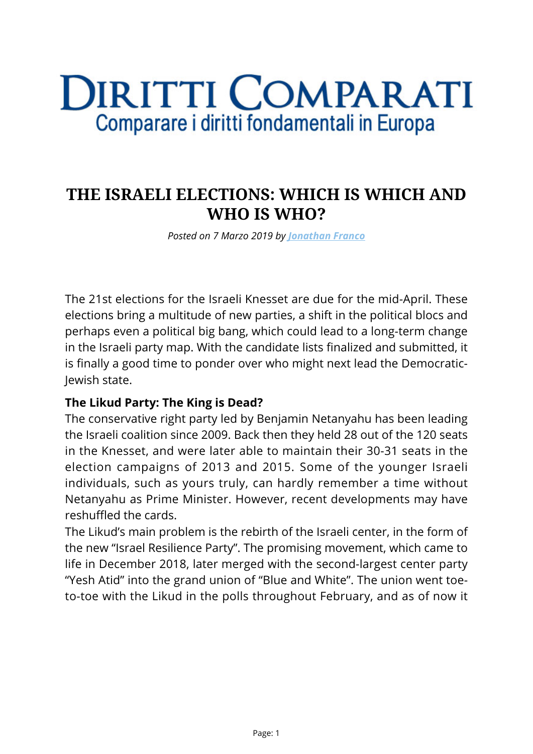# **DIRITTI COMPARATI** Comparare i diritti fondamentali in Europa

# **THE ISRAELI ELECTIONS: WHICH IS WHICH AND WHO IS WHO?**

*Posted on 7 Marzo 2019 by [Jonathan Franco](https://www.diritticomparati.it/autore/jonathan-franco/)*

The 21st elections for the Israeli Knesset are due for the mid-April. These elections bring a multitude of new parties, a shift in the political blocs and perhaps even a political big bang, which could lead to a long-term change in the Israeli party map. With the candidate lists finalized and submitted, it is finally a good time to ponder over who might next lead the Democratic-Jewish state.

#### **The Likud Party: The King is Dead?**

The conservative right party led by Benjamin Netanyahu has been leading the Israeli coalition since 2009. Back then they held 28 out of the 120 seats in the Knesset, and were later able to maintain their 30-31 seats in the election campaigns of 2013 and 2015. Some of the younger Israeli individuals, such as yours truly, can hardly remember a time without Netanyahu as Prime Minister. However, recent developments may have reshuffled the cards.

The Likud's main problem is the rebirth of the Israeli center, in the form of the new "Israel Resilience Party". The promising movement, which came to life in December 2018, later merged with the second-largest center party "Yesh Atid" into the grand union of "Blue and White". The union went toeto-toe with the Likud in the polls throughout February, and as of now it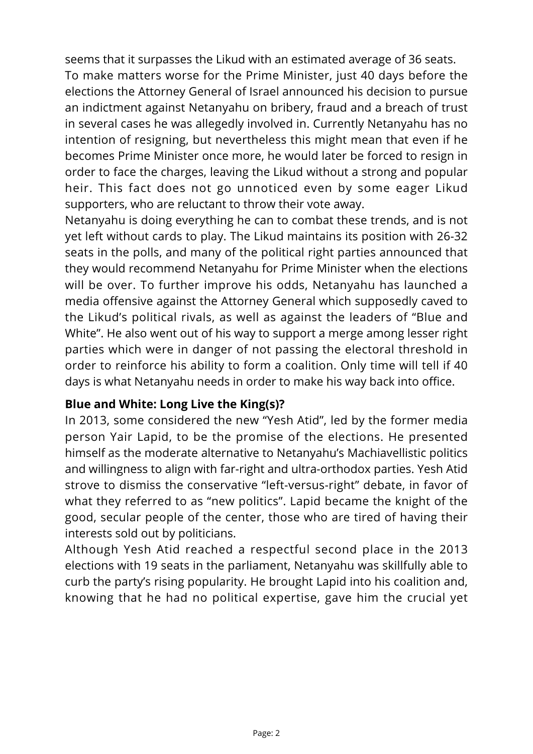seems that it surpasses the Likud with an estimated average of 36 seats. To make matters worse for the Prime Minister, just 40 days before the elections the Attorney General of Israel announced his decision to pursue an indictment against Netanyahu on bribery, fraud and a breach of trust in several cases he was allegedly involved in. Currently Netanyahu has no intention of resigning, but nevertheless this might mean that even if he becomes Prime Minister once more, he would later be forced to resign in order to face the charges, leaving the Likud without a strong and popular heir. This fact does not go unnoticed even by some eager Likud supporters, who are reluctant to throw their vote away.

Netanyahu is doing everything he can to combat these trends, and is not yet left without cards to play. The Likud maintains its position with 26-32 seats in the polls, and many of the political right parties announced that they would recommend Netanyahu for Prime Minister when the elections will be over. To further improve his odds, Netanyahu has launched a media offensive against the Attorney General which supposedly caved to the Likud's political rivals, as well as against the leaders of "Blue and White". He also went out of his way to support a merge among lesser right parties which were in danger of not passing the electoral threshold in order to reinforce his ability to form a coalition. Only time will tell if 40 days is what Netanyahu needs in order to make his way back into office.

## **Blue and White: Long Live the King(s)?**

In 2013, some considered the new "Yesh Atid", led by the former media person Yair Lapid, to be the promise of the elections. He presented himself as the moderate alternative to Netanyahu's Machiavellistic politics and willingness to align with far-right and ultra-orthodox parties. Yesh Atid strove to dismiss the conservative "left-versus-right" debate, in favor of what they referred to as "new politics". Lapid became the knight of the good, secular people of the center, those who are tired of having their interests sold out by politicians.

Although Yesh Atid reached a respectful second place in the 2013 elections with 19 seats in the parliament, Netanyahu was skillfully able to curb the party's rising popularity. He brought Lapid into his coalition and, knowing that he had no political expertise, gave him the crucial yet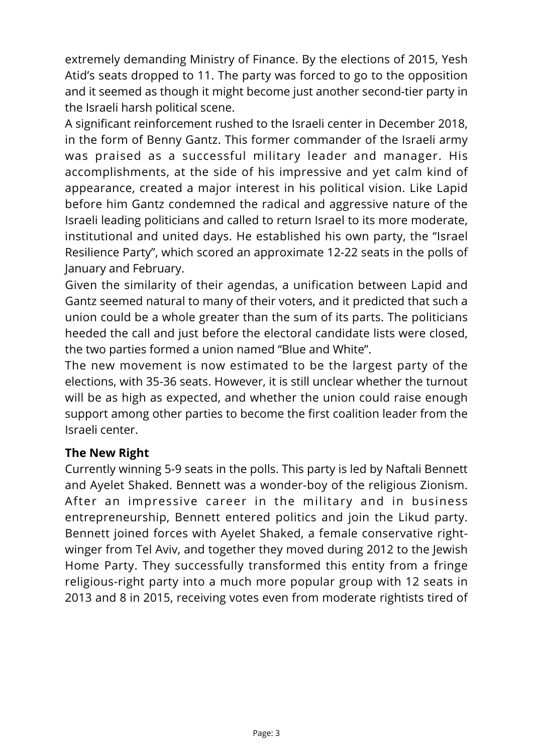extremely demanding Ministry of Finance. By the elections of 2015, Yesh Atid's seats dropped to 11. The party was forced to go to the opposition and it seemed as though it might become just another second-tier party in the Israeli harsh political scene.

A significant reinforcement rushed to the Israeli center in December 2018, in the form of Benny Gantz. This former commander of the Israeli army was praised as a successful military leader and manager. His accomplishments, at the side of his impressive and yet calm kind of appearance, created a major interest in his political vision. Like Lapid before him Gantz condemned the radical and aggressive nature of the Israeli leading politicians and called to return Israel to its more moderate, institutional and united days. He established his own party, the "Israel Resilience Party", which scored an approximate 12-22 seats in the polls of January and February.

Given the similarity of their agendas, a unification between Lapid and Gantz seemed natural to many of their voters, and it predicted that such a union could be a whole greater than the sum of its parts. The politicians heeded the call and just before the electoral candidate lists were closed, the two parties formed a union named "Blue and White".

The new movement is now estimated to be the largest party of the elections, with 35-36 seats. However, it is still unclear whether the turnout will be as high as expected, and whether the union could raise enough support among other parties to become the first coalition leader from the Israeli center.

#### **The New Right**

Currently winning 5-9 seats in the polls. This party is led by Naftali Bennett and Ayelet Shaked. Bennett was a wonder-boy of the religious Zionism. After an impressive career in the military and in business entrepreneurship, Bennett entered politics and join the Likud party. Bennett joined forces with Ayelet Shaked, a female conservative rightwinger from Tel Aviv, and together they moved during 2012 to the Jewish Home Party. They successfully transformed this entity from a fringe religious-right party into a much more popular group with 12 seats in 2013 and 8 in 2015, receiving votes even from moderate rightists tired of